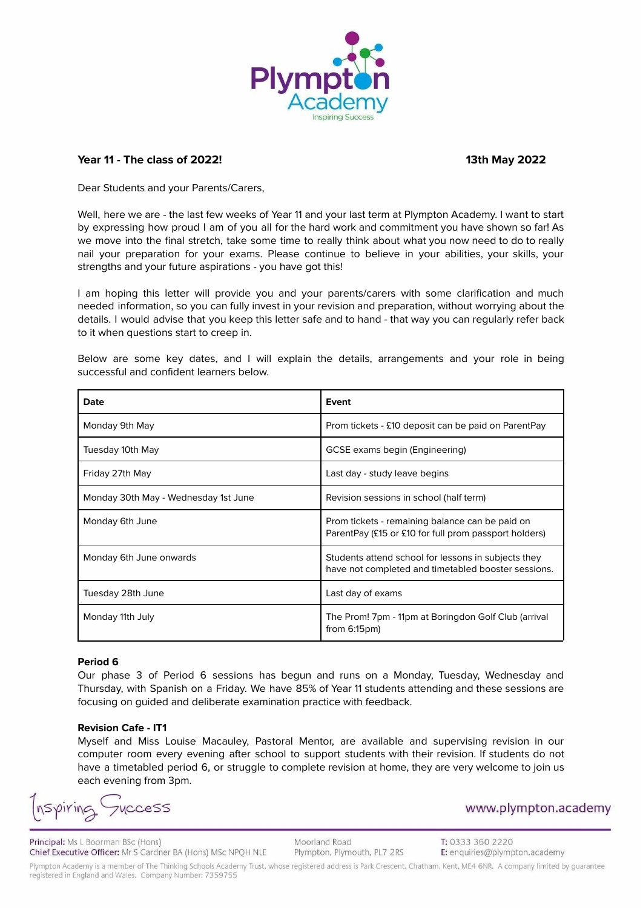

# **Year 11 - The class of 2022! 13th May 2022**

Dear Students and your Parents/Carers,

Well, here we are - the last few weeks of Year 11 and your last term at Plympton Academy. I want to start by expressing how proud I am of you all for the hard work and commitment you have shown so far! As we move into the final stretch, take some time to really think about what you now need to do to really nail your preparation for your exams. Please continue to believe in your abilities, your skills, your strengths and your future aspirations - you have got this!

I am hoping this letter will provide you and your parents/carers with some clarification and much needed information, so you can fully invest in your revision and preparation, without worrying about the details. I would advise that you keep this letter safe and to hand - that way you can regularly refer back to it when questions start to creep in.

| Date                                 | Event                                                                                                      |
|--------------------------------------|------------------------------------------------------------------------------------------------------------|
| Monday 9th May                       | Prom tickets - £10 deposit can be paid on ParentPay                                                        |
| Tuesday 10th May                     | GCSE exams begin (Engineering)                                                                             |
| Friday 27th May                      | Last day - study leave begins                                                                              |
| Monday 30th May - Wednesday 1st June | Revision sessions in school (half term)                                                                    |
| Monday 6th June                      | Prom tickets - remaining balance can be paid on<br>ParentPay (£15 or £10 for full prom passport holders)   |
| Monday 6th June onwards              | Students attend school for lessons in subjects they<br>have not completed and timetabled booster sessions. |
| Tuesday 28th June                    | Last day of exams                                                                                          |
| Monday 11th July                     | The Prom! 7pm - 11pm at Boringdon Golf Club (arrival<br>from $6:15$ pm $)$                                 |

Below are some key dates, and I will explain the details, arrangements and your role in being successful and confident learners below.

## **Period 6**

Our phase 3 of Period 6 sessions has begun and runs on a Monday, Tuesday, Wednesday and Thursday, with Spanish on a Friday. We have 85% of Year 11 students attending and these sessions are focusing on guided and deliberate examination practice with feedback.

### **Revision Cafe - IT1**

Myself and Miss Louise Macauley, Pastoral Mentor, are available and supervising revision in our computer room every evening after school to support students with their revision. If students do not have a timetabled period 6, or struggle to complete revision at home, they are very welcome to join us each evening from 3pm.

Spiring **VCCESS** 

Principal: Ms L Boorman BSc (Hons) Chief Executive Officer: Mr S Gardner BA (Hons) MSc NPQH NLE

Moorland Road Plympton, Plymouth, PL7 2RS

T: 0333 360 2220 E: enquiries@plympton.academy

www.plympton.academy

Plympton Academy is a member of The Thinking Schools Academy Trust, whose registered address is Park Crescent, Chatham, Kent, ME4 6NR. A company limited by guarantee registered in England and Wales. Company Number: 7359755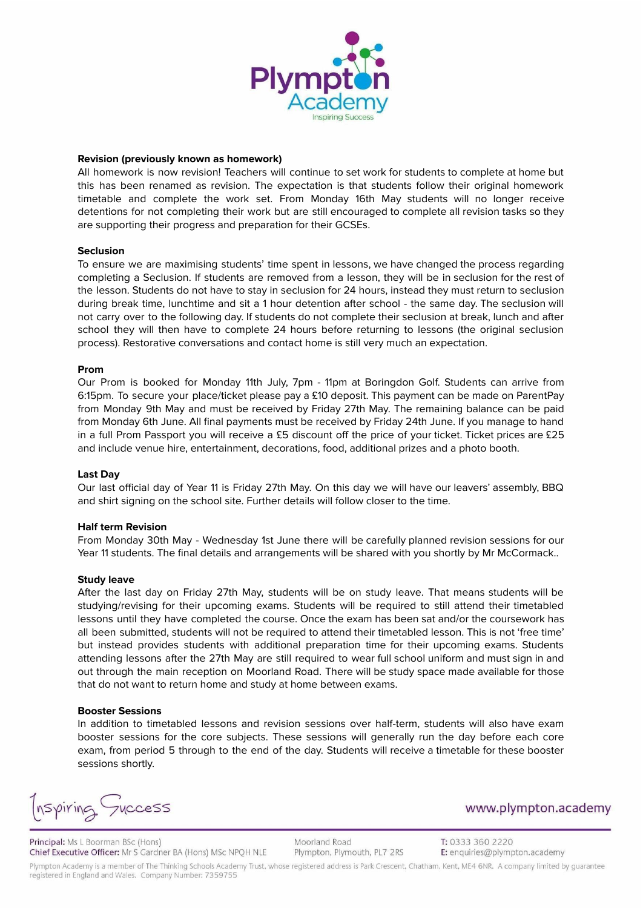

## **Revision (previously known as homework)**

All homework is now revision! Teachers will continue to set work for students to complete at home but this has been renamed as revision. The expectation is that students follow their original homework timetable and complete the work set. From Monday 16th May students will no longer receive detentions for not completing their work but are still encouraged to complete all revision tasks so they are supporting their progress and preparation for their GCSEs.

## **Seclusion**

To ensure we are maximising students' time spent in lessons, we have changed the process regarding completing a Seclusion. If students are removed from a lesson, they will be in seclusion for the rest of the lesson. Students do not have to stay in seclusion for 24 hours, instead they must return to seclusion during break time, lunchtime and sit a 1 hour detention after school - the same day. The seclusion will not carry over to the following day. If students do not complete their seclusion at break, lunch and after school they will then have to complete 24 hours before returning to lessons (the original seclusion process). Restorative conversations and contact home is still very much an expectation.

### **Prom**

Our Prom is booked for Monday 11th July, 7pm - 11pm at Boringdon Golf. Students can arrive from 6:15pm. To secure your place/ticket please pay a £10 deposit. This payment can be made on ParentPay from Monday 9th May and must be received by Friday 27th May. The remaining balance can be paid from Monday 6th June. All final payments must be received by Friday 24th June. If you manage to hand in a full Prom Passport you will receive a £5 discount off the price of your ticket. Ticket prices are £25 and include venue hire, entertainment, decorations, food, additional prizes and a photo booth.

### **Last Day**

Our last official day of Year 11 is Friday 27th May. On this day we will have our leavers' assembly, BBQ and shirt signing on the school site. Further details will follow closer to the time.

### **Half term Revision**

From Monday 30th May - Wednesday 1st June there will be carefully planned revision sessions for our Year 11 students. The final details and arrangements will be shared with you shortly by Mr McCormack..

### **Study leave**

After the last day on Friday 27th May, students will be on study leave. That means students will be studying/revising for their upcoming exams. Students will be required to still attend their timetabled lessons until they have completed the course. Once the exam has been sat and/or the coursework has all been submitted, students will not be required to attend their timetabled lesson. This is not 'free time' but instead provides students with additional preparation time for their upcoming exams. Students attending lessons after the 27th May are still required to wear full school uniform and must sign in and out through the main reception on Moorland Road. There will be study space made available for those that do not want to return home and study at home between exams.

### **Booster Sessions**

In addition to timetabled lessons and revision sessions over half-term, students will also have exam booster sessions for the core subjects. These sessions will generally run the day before each core exam, from period 5 through to the end of the day. Students will receive a timetable for these booster sessions shortly.

Inspiring Guccess

Principal: Ms L Boorman BSc (Hons) Chief Executive Officer: Mr S Gardner BA (Hons) MSc NPQH NLE Moorland Road Plympton, Plymouth, PL7 2RS www.plympton.academy

T: 0333 360 2220 E: enquiries@plympton.academy

Plympton Academy is a member of The Thinking Schools Academy Trust, whose registered address is Park Crescent, Chatham, Kent, ME4 6NR. A company limited by guarantee registered in England and Wales. Company Number: 7359755